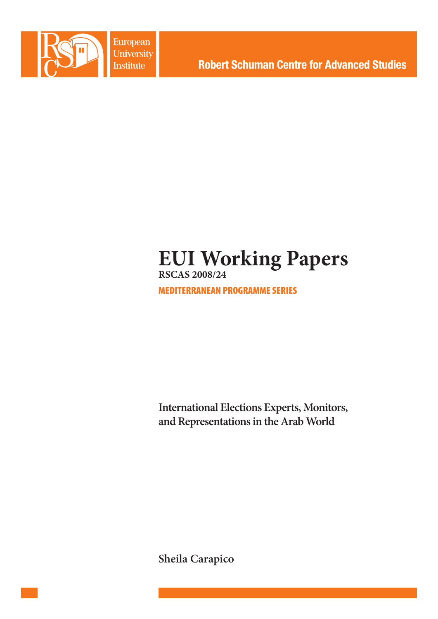

European University **Institute** 

**Robert Schuman Centre for Advanced Studies** 

# **EUI Working Papers RSCAS 2008/24**

MEDITERRANEAN PROGRAMME SERIES

**International Elections Experts, Monitors, and Representations in the Arab World** 

**Sheila Carapico**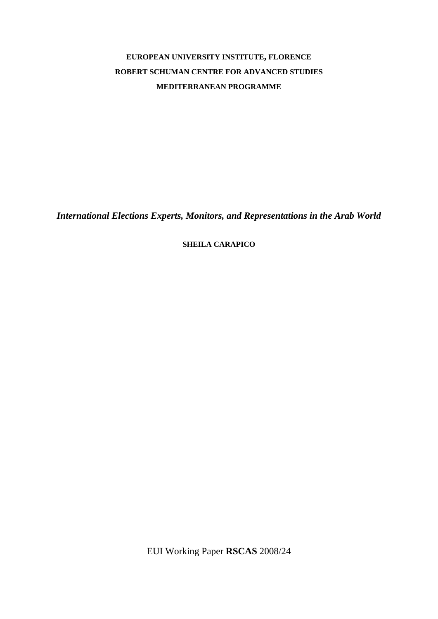# **EUROPEAN UNIVERSITY INSTITUTE, FLORENCE ROBERT SCHUMAN CENTRE FOR ADVANCED STUDIES MEDITERRANEAN PROGRAMME**

*International Elections Experts, Monitors, and Representations in the Arab World* 

**SHEILA CARAPICO**

EUI Working Paper **RSCAS** 2008/24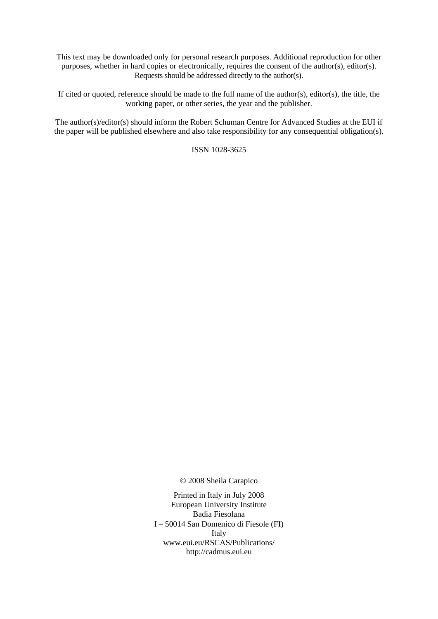This text may be downloaded only for personal research purposes. Additional reproduction for other purposes, whether in hard copies or electronically, requires the consent of the author(s), editor(s). Requests should be addressed directly to the author(s).

If cited or quoted, reference should be made to the full name of the author(s), editor(s), the title, the working paper, or other series, the year and the publisher.

The author(s)/editor(s) should inform the Robert Schuman Centre for Advanced Studies at the EUI if the paper will be published elsewhere and also take responsibility for any consequential obligation(s).

ISSN 1028-3625

© 2008 Sheila Carapico

Printed in Italy in July 2008 European University Institute Badia Fiesolana I – 50014 San Domenico di Fiesole (FI) Italy [www.eui.eu/RSCAS/Publications/](http://www.eui.eu/RSCAS/Publications/)  <http://cadmus.eui.eu>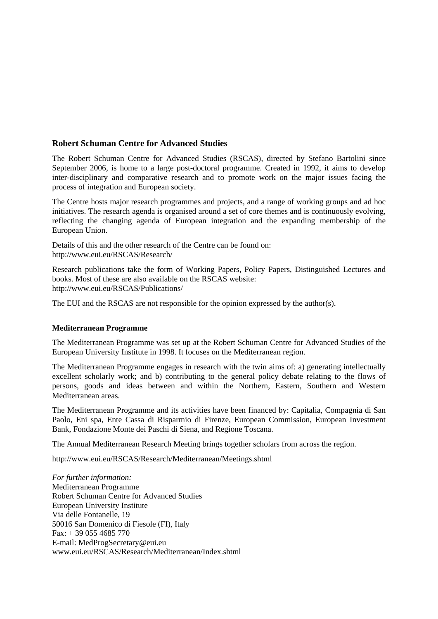## **Robert Schuman Centre for Advanced Studies**

The Robert Schuman Centre for Advanced Studies (RSCAS), directed by Stefano Bartolini since September 2006, is home to a large post-doctoral programme. Created in 1992, it aims to develop inter-disciplinary and comparative research and to promote work on the major issues facing the process of integration and European society.

The Centre hosts major research programmes and projects, and a range of working groups and ad hoc initiatives. The research agenda is organised around a set of core themes and is continuously evolving, reflecting the changing agenda of European integration and the expanding membership of the European Union.

Details of this and the other research of the Centre can be found on: <http://www.eui.eu/RSCAS/Research/>

Research publications take the form of Working Papers, Policy Papers, Distinguished Lectures and books. Most of these are also available on the RSCAS website: <http://www.eui.eu/RSCAS/Publications/>

The EUI and the RSCAS are not responsible for the opinion expressed by the author(s).

#### **Mediterranean Programme**

The Mediterranean Programme was set up at the Robert Schuman Centre for Advanced Studies of the European University Institute in 1998. It focuses on the Mediterranean region.

The Mediterranean Programme engages in research with the twin aims of: a) generating intellectually excellent scholarly work; and b) contributing to the general policy debate relating to the flows of persons, goods and ideas between and within the Northern, Eastern, Southern and Western Mediterranean areas.

The Mediterranean Programme and its activities have been financed by: Capitalia, Compagnia di San Paolo, Eni spa, Ente Cassa di Risparmio di Firenze, European Commission, European Investment Bank, Fondazione Monte dei Paschi di Siena, and Regione Toscana.

The Annual Mediterranean Research Meeting brings together scholars from across the region.

<http://www.eui.eu/RSCAS/Research/Mediterranean/Meetings.shtml>

*For further information:*  Mediterranean Programme Robert Schuman Centre for Advanced Studies European University Institute Via delle Fontanelle, 19 50016 San Domenico di Fiesole (FI), Italy Fax: + 39 055 4685 770 E-mail: [MedProgSecretary@eui.eu](mailto:MedProgSecretary@eui.eu)  [www.eui.eu/RSCAS/Research/Mediterranean/Index.shtml](http://www.eui.eu/RSCAS/Research/Mediterranean/Index.shtml)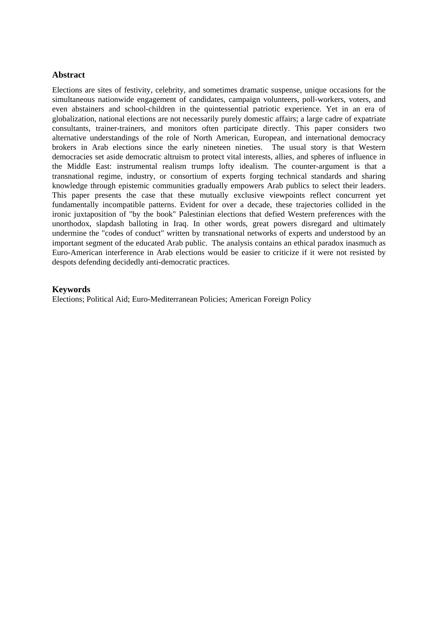#### **Abstract**

Elections are sites of festivity, celebrity, and sometimes dramatic suspense, unique occasions for the simultaneous nationwide engagement of candidates, campaign volunteers, poll-workers, voters, and even abstainers and school-children in the quintessential patriotic experience. Yet in an era of globalization, national elections are not necessarily purely domestic affairs; a large cadre of expatriate consultants, trainer-trainers, and monitors often participate directly. This paper considers two alternative understandings of the role of North American, European, and international democracy brokers in Arab elections since the early nineteen nineties. The usual story is that Western democracies set aside democratic altruism to protect vital interests, allies, and spheres of influence in the Middle East: instrumental realism trumps lofty idealism. The counter-argument is that a transnational regime, industry, or consortium of experts forging technical standards and sharing knowledge through epistemic communities gradually empowers Arab publics to select their leaders. This paper presents the case that these mutually exclusive viewpoints reflect concurrent yet fundamentally incompatible patterns. Evident for over a decade, these trajectories collided in the ironic juxtaposition of "by the book" Palestinian elections that defied Western preferences with the unorthodox, slapdash balloting in Iraq. In other words, great powers disregard and ultimately undermine the "codes of conduct" written by transnational networks of experts and understood by an important segment of the educated Arab public. The analysis contains an ethical paradox inasmuch as Euro-American interference in Arab elections would be easier to criticize if it were not resisted by despots defending decidedly anti-democratic practices.

#### **Keywords**

Elections; Political Aid; Euro-Mediterranean Policies; American Foreign Policy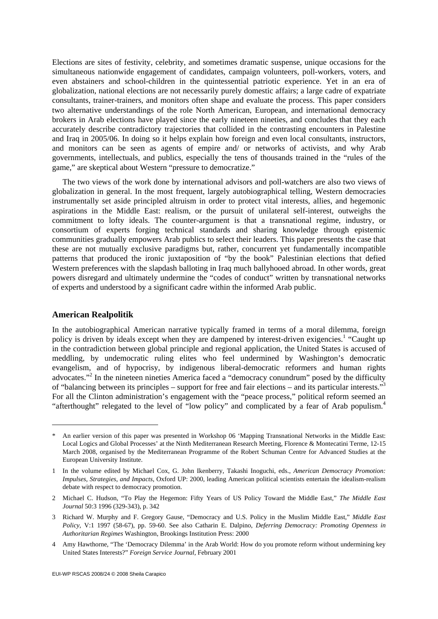Elections are sites of festivity, celebrity, and sometimes dramatic suspense, unique occasions for the simultaneous nationwide engagement of candidates, campaign volunteers, poll-workers, voters, and even abstainers and school-children in the quintessential patriotic experience. Yet in an era of globalization, national elections are not necessarily purely domestic affairs; a large cadre of expatriate consultants, trainer-trainers, and monitors often shape and evaluate the process. This paper considers two alternative understandings of the role North American, European, and international democracy brokers in Arab elections have played since the early nineteen nineties, and concludes that they each accurately describe contradictory trajectories that collided in the contrasting encounters in Palestine and Iraq in 2005/06. In doing so it helps explain how foreign and even local consultants, instructors, and monitors can be seen as agents of empire and/ or networks of activists, and why Arab governments, intellectuals, and publics, especially the tens of thousands trained in the "rules of the game," are skeptical about Western "pressure to democratize."

The two views of the work done by international advisors and poll-watchers are also two views of globalization in general. In the most frequent, largely autobiographical telling, Western democracies instrumentally set aside principled altruism in order to protect vital interests, allies, and hegemonic aspirations in the Middle East: realism, or the pursuit of unilateral self-interest, outweighs the commitment to lofty ideals. The counter-argument is that a transnational regime, industry, or consortium of experts forging technical standards and sharing knowledge through epistemic communities gradually empowers Arab publics to select their leaders. This paper presents the case that these are not mutually exclusive paradigms but, rather, concurrent yet fundamentally incompatible patterns that produced the ironic juxtaposition of "by the book" Palestinian elections that defied Western preferences with the slapdash balloting in Iraq much ballyhooed abroad. In other words, great powers disregard and ultimately undermine the "codes of conduct" written by transnational networks of experts and understood by a significant cadre within the informed Arab public.

#### **American Realpolitik**

1

In the autobiographical American narrative typically framed in terms of a moral dilemma, foreign policy is driven by ideals except when they are dampened by interest-driven exigencies.<sup>1</sup> "Caught up in the contradiction between global principle and regional application, the United States is accused of meddling, by undemocratic ruling elites who feel undermined by Washington's democratic evangelism, and of hypocrisy, by indigenous liberal-democratic reformers and human rights advocates."<sup>2</sup> In the nineteen nineties America faced a "democracy conundrum" posed by the difficulty of "balancing between its principles – support for free and fair elections – and its particular interests."3 For all the Clinton administration's engagement with the "peace process," political reform seemed an "afterthought" relegated to the level of "low policy" and complicated by a fear of Arab populism.<sup>4</sup>

An earlier version of this paper was presented in Workshop 06 'Mapping Transnational Networks in the Middle East: Local Logics and Global Processes' at the Ninth Mediterranean Research Meeting, Florence & Montecatini Terme, 12-15 March 2008, organised by the Mediterranean Programme of the Robert Schuman Centre for Advanced Studies at the European University Institute.

<sup>1</sup> In the volume edited by Michael Cox, G. John Ikenberry, Takashi Inoguchi, eds., *American Democracy Promotion: Impulses, Strategies, and Impacts*, Oxford UP: 2000, leading American political scientists entertain the idealism-realism debate with respect to democracy promotion.

<sup>2</sup> Michael C. Hudson, "To Play the Hegemon: Fifty Years of US Policy Toward the Middle East," *The Middle East Journal* 50:3 1996 (329-343), p. 342

<sup>3</sup> Richard W. Murphy and F. Gregory Gause, "Democracy and U.S. Policy in the Muslim Middle East," *Middle East Policy*, V:1 1997 (58-67), pp. 59-60. See also Catharin E. Dalpino, *Deferring Democracy: Promoting Openness in Authoritarian Regimes* Washington, Brookings Institution Press: 2000

<sup>4</sup> Amy Hawthorne, "The 'Democracy Dilemma' in the Arab World: How do you promote reform without undermining key United States Interests?" *Foreign Service Journal*, February 2001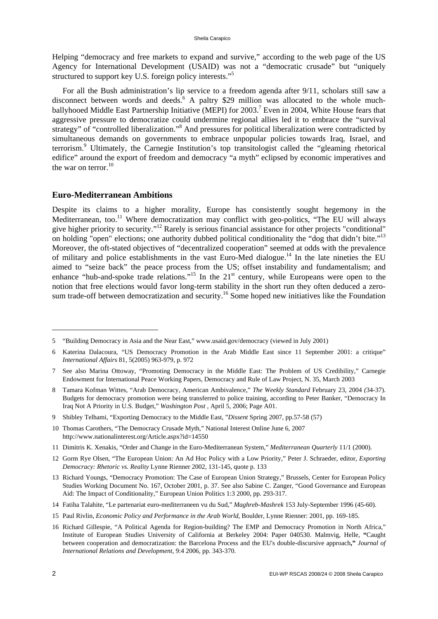Helping "democracy and free markets to expand and survive," according to the web page of the US Agency for International Development (USAID) was not a "democratic crusade" but "uniquely structured to support key U.S. foreign policy interests."<sup>5</sup>

For all the Bush administration's lip service to a freedom agenda after 9/11, scholars still saw a disconnect between words and deeds.<sup>6</sup> A paltry \$29 million was allocated to the whole muchballyhooed Middle East Partnership Initiative (MEPI) for 2003.<sup>7</sup> Even in 2004, White House fears that aggressive pressure to democratize could undermine regional allies led it to embrace the "survival strategy" of "controlled liberalization."<sup>8</sup> And pressures for political liberalization were contradicted by simultaneous demands on governments to embrace unpopular policies towards Iraq, Israel, and terrorism.<sup>9</sup> Ultimately, the Carnegie Institution's top transitologist called the "gleaming rhetorical edifice" around the export of freedom and democracy "a myth" eclipsed by economic imperatives and the war on terror. $10$ 

#### **Euro-Mediterranean Ambitions**

Despite its claims to a higher morality, Europe has consistently sought hegemony in the Mediterranean, too.11 Where democratization may conflict with geo-politics, "The EU will always give higher priority to security."12 Rarely is serious financial assistance for other projects "conditional" on holding "open" elections; one authority dubbed political conditionality the "dog that didn't bite."13 Moreover, the oft-stated objectives of "decentralized cooperation" seemed at odds with the prevalence of military and police establishments in the vast Euro-Med dialogue.<sup>14</sup> In the late nineties the EU aimed to "seize back" the peace process from the US; offset instability and fundamentalism; and enhance "hub-and-spoke trade relations."<sup>15</sup> In the 21<sup>st</sup> century, while Europeans were open to the notion that free elections would favor long-term stability in the short run they often deduced a zerosum trade-off between democratization and security.<sup>16</sup> Some hoped new initiatives like the Foundation

<sup>5 &</sup>quot;Building Democracy in Asia and the Near East," [www.usaid.gov/democracy \(v](http://www.usaid.gov/democracy)iewed in July 2001)

<sup>6</sup> Katerina Dalacoura, "US Democracy Promotion in the Arab Middle East since 11 September 2001: a critique" *International Affairs* 81, 5(2005) 963-979, p. 972

<sup>7</sup> See also Marina Ottoway, "Promoting Democracy in the Middle East: The Problem of US Credibility," Carnegie Endowment for International Peace Working Papers, Democracy and Rule of Law Project, N. 35, March 2003

<sup>8</sup> Tamara Kofman Wittes, "Arab Democracy, American Ambivalence," *The Weekly Standard* February 23, 2004 *(*34-37). Budgets for democracy promotion were being transferred to police training, according to Peter Banker, "Democracy In Iraq Not A Priority in U.S. Budget," *Washington Post* , April 5, 2006; Page A01.

<sup>9</sup> Shibley Telhami, "Exporting Democracy to the Middle East, "*Dissent* Spring 2007, pp.57-58 (57)

<sup>10</sup> Thomas Carothers, "The Democracy Crusade Myth," National Interest Online June 6, 2007 <http://www.nationalinterest.org/Article.aspx?id=14550>

<sup>11</sup> Dimitris K. Xenakis, "Order and Change in the Euro-Mediterranean System," *Mediterranean Quarterly* 11/1 (2000).

<sup>12</sup> Gorm Rye Olsen, "The European Union: An Ad Hoc Policy with a Low Priority," Peter J. Schraeder, editor, *Exporting Democracy: Rhetoric vs. Reality* Lynne Rienner 2002, 131-145, quote p. 133

<sup>13</sup> Richard Youngs, "Democracy Promotion: The Case of European Union Strategy," Brussels, Center for European Policy Studies Working Document No. 167, October 2001, p. 37. See also Sabine C. Zanger, "Good Governance and European Aid: The Impact of Conditionality," European Union Politics 1:3 2000, pp. 293-317.

<sup>14</sup> Fatiha Talahite, "Le partenariat euro-mediterraneen vu du Sud," *Maghreb-Mashrek* 153 July-September 1996 (45-60).

<sup>15</sup> Paul Rivlin, *Economic Policy and Performance in the Arab World*, Boulder, Lynne Rienner: 2001, pp. 169-185.

<sup>16</sup> Richard Gillespie, "A Political Agenda for Region-building? The EMP and Democracy Promotion in North Africa," Institute of European Studies University of California at Berkeley 2004: Paper 040530. Malmvig, Helle, **"**Caught between cooperation and democratization: the Barcelona Process and the EU's double-discursive approach**,"** *Journal of International Relations and Development*, 9:4 2006, pp. 343-370.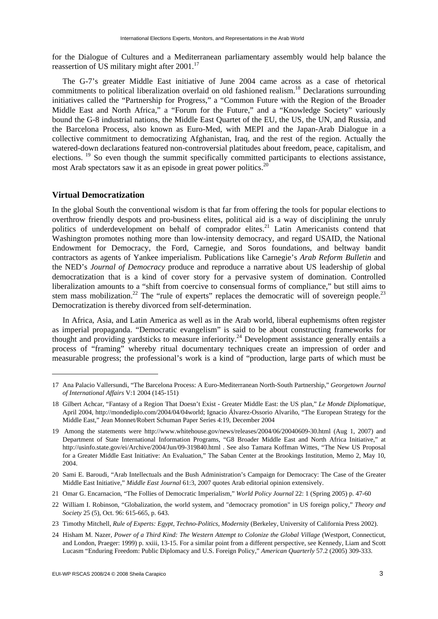for the Dialogue of Cultures and a Mediterranean parliamentary assembly would help balance the reassertion of US military might after 2001.<sup>17</sup>

The G-7's greater Middle East initiative of June 2004 came across as a case of rhetorical commitments to political liberalization overlaid on old fashioned realism.<sup>18</sup> Declarations surrounding initiatives called the "Partnership for Progress," a "Common Future with the Region of the Broader Middle East and North Africa," a "Forum for the Future," and a "Knowledge Society" variously bound the G-8 industrial nations, the Middle East Quartet of the EU, the US, the UN, and Russia, and the Barcelona Process, also known as Euro-Med, with MEPI and the Japan-Arab Dialogue in a collective commitment to democratizing Afghanistan, Iraq, and the rest of the region. Actually the watered-down declarations featured non-controversial platitudes about freedom, peace, capitalism, and elections. 19 So even though the summit specifically committed participants to elections assistance, most Arab spectators saw it as an episode in great power politics.<sup>20</sup>

#### **Virtual Democratization**

1

In the global South the conventional wisdom is that far from offering the tools for popular elections to overthrow friendly despots and pro-business elites, political aid is a way of disciplining the unruly politics of underdevelopment on behalf of comprador elites.<sup>21</sup> Latin Americanists contend that Washington promotes nothing more than low-intensity democracy, and regard USAID, the National Endowment for Democracy, the Ford, Carnegie, and Soros foundations, and beltway bandit contractors as agents of Yankee imperialism. Publications like Carnegie's *Arab Reform Bulletin* and the NED's *Journal of Democracy* produce and reproduce a narrative about US leadership of global democratization that is a kind of cover story for a pervasive system of domination. Controlled liberalization amounts to a "shift from coercive to consensual forms of compliance," but still aims to stem mass mobilization.<sup>22</sup> The "rule of experts" replaces the democratic will of sovereign people.<sup>23</sup> Democratization is thereby divorced from self-determination.

In Africa, Asia, and Latin America as well as in the Arab world, liberal euphemisms often register as imperial propaganda. "Democratic evangelism" is said to be about constructing frameworks for thought and providing yardsticks to measure inferiority.<sup>24</sup> Development assistance generally entails a process of "framing" whereby ritual documentary techniques create an impression of order and measurable progress; the professional's work is a kind of "production, large parts of which must be

23 Timothy Mitchell, *Rule of Experts: Egypt, Techno-Politics, Modernity* (Berkeley, University of California Press 2002).

<sup>17</sup> Ana Palacio Vallersundi, "The Barcelona Process: A Euro-Mediterranean North-South Partnership," *Georgetown Journal of International Affairs* V:1 2004 (145-151)

<sup>18</sup> Gilbert Achcar, "Fantasy of a Region That Doesn't Exist - Greater Middle East: the US plan," *Le Monde Diplomatique*, April 2004, [http://mondediplo.com/2004/04/04world;](http://mondediplo.com/2004/04/04world) Ignacio Álvarez-Ossorio Alvariño, "The European Strategy for the Middle East," Jean Monnet/Robert Schuman Paper Series 4:19, December 2004

<sup>19</sup> Among the statements were [http://www.whitehouse.gov/news/releases/2004/06/20040609-30.html \(A](http://www.whitehouse.gov/news/releases/2004/06/20040609-30.html)ug 1, 2007) and Department of State International Information Programs, "G8 Broader Middle East and North Africa Initiative," at [http://usinfo.state.gov/ei/Archive/2004/Jun/09-319840.html . S](http://usinfo.state.gov/ei/Archive/2004/Jun/09-319840.html)ee also Tamara Koffman Wittes, "The New US Proposal for a Greater Middle East Initiative: An Evaluation," The Saban Center at the Brookings Institution, Memo 2, May 10, 2004.

<sup>20</sup> Sami E. Baroudi, "Arab Intellectuals and the Bush Administration's Campaign for Democracy: The Case of the Greater Middle East Initiative," *Middle East Journal* 61:3, 2007 quotes Arab editorial opinion extensively.

<sup>21</sup> Omar G. Encarnacion, "The Follies of Democratic Imperialism," *World Policy Journal* 22: 1 (Spring 2005) p. 47-60

<sup>22</sup> William I. Robinson, "Globalization, the world system, and "democracy promotion" in US foreign policy," *Theory and Society* 25 (5), Oct. 96: 615-665, p. 643.

<sup>24</sup> Hisham M. Nazer, *Power of a Third Kind: The Western Attempt to Colonize the Global Village* (Westport, Connecticut, and London, Praeger: 1999) p. xxiii, 13-15. For a similar point from a different perspective, see Kennedy, Liam and Scott Lucasm "Enduring Freedom: Public Diplomacy and U.S. Foreign Policy," *American Quarterly* 57.2 (2005) 309-333.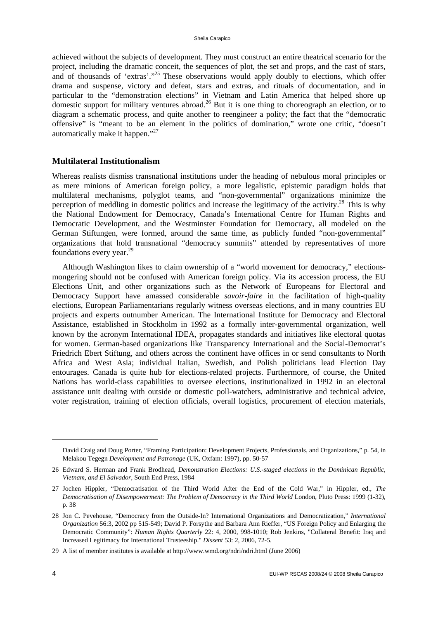achieved without the subjects of development. They must construct an entire theatrical scenario for the project, including the dramatic conceit, the sequences of plot, the set and props, and the cast of stars, and of thousands of 'extras'."<sup>25</sup> These observations would apply doubly to elections, which offer drama and suspense, victory and defeat, stars and extras, and rituals of documentation, and in particular to the "demonstration elections" in Vietnam and Latin America that helped shore up domestic support for military ventures abroad.<sup>26</sup> But it is one thing to choreograph an election, or to diagram a schematic process, and quite another to reengineer a polity; the fact that the "democratic offensive" is "meant to be an element in the politics of domination," wrote one critic, "doesn't automatically make it happen."27

### **Multilateral Institutionalism**

Whereas realists dismiss transnational institutions under the heading of nebulous moral principles or as mere minions of American foreign policy, a more legalistic, epistemic paradigm holds that multilateral mechanisms, polyglot teams, and "non-governmental" organizations minimize the perception of meddling in domestic politics and increase the legitimacy of the activity.<sup>28</sup> This is why the National Endowment for Democracy, Canada's International Centre for Human Rights and Democratic Development, and the Westminster Foundation for Democracy, all modeled on the German Stiftungen, were formed, around the same time, as publicly funded "non-governmental" organizations that hold transnational "democracy summits" attended by representatives of more foundations every year.<sup>29</sup>

Although Washington likes to claim ownership of a "world movement for democracy," electionsmongering should not be confused with American foreign policy. Via its accession process, the EU Elections Unit, and other organizations such as the Network of Europeans for Electoral and Democracy Support have amassed considerable *savoir-faire* in the facilitation of high-quality elections, European Parliamentarians regularly witness overseas elections, and in many countries EU projects and experts outnumber American. The International Institute for Democracy and Electoral Assistance, established in Stockholm in 1992 as a formally inter-governmental organization, well known by the acronym International IDEA, propagates standards and initiatives like electoral quotas for women. German-based organizations like Transparency International and the Social-Democrat's Friedrich Ebert Stiftung, and others across the continent have offices in or send consultants to North Africa and West Asia; individual Italian, Swedish, and Polish politicians lead Election Day entourages. Canada is quite hub for elections-related projects. Furthermore, of course, the United Nations has world-class capabilities to oversee elections, institutionalized in 1992 in an electoral assistance unit dealing with outside or domestic poll-watchers, administrative and technical advice, voter registration, training of election officials, overall logistics, procurement of election materials,

-

David Craig and Doug Porter, "Framing Participation: Development Projects, Professionals, and Organizations," p. 54, in Melakou Tegegn *Development and Patronage* (UK, Oxfam: 1997), pp. 50-57

<sup>26</sup> Edward S. Herman and Frank Brodhead, *Demonstration Elections: U.S.-staged elections in the Dominican Republic, Vietnam, and El Salvador*, South End Press, 1984

<sup>27</sup> Jochen Hippler, "Democratisation of the Third World After the End of the Cold War," in Hippler, ed., *The Democratisation of Disempowerment: The Problem of Democracy in the Third World* London, Pluto Press: 1999 (1-32), p. 38

<sup>28</sup> Jon C. Pevehouse, "Democracy from the Outside-In? International Organizations and Democratization," *International Organization* 56:3, 2002 pp 515-549; David P. Forsythe and Barbara Ann Rieffer, "US Foreign Policy and Enlarging the Democratic Community": *Human Rights Quarterly* 22: 4, 2000, 998-1010; Rob Jenkins, "Collateral Benefit: Iraq and Increased Legitimacy for International Trusteeship." *Dissent* 53: 2, 2006, 72-5.

<sup>29</sup> A list of member institutes is available at [http://www.wmd.org/ndri/ndri.html \(J](http://www.wmd.org/ndri/ndri.html)une 2006)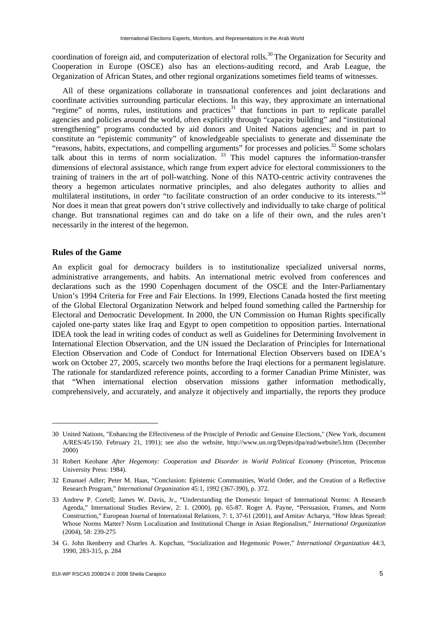coordination of foreign aid, and computerization of electoral rolls.<sup>30</sup> The Organization for Security and Cooperation in Europe (OSCE) also has an elections-auditing record, and Arab League, the Organization of African States, and other regional organizations sometimes field teams of witnesses.

All of these organizations collaborate in transnational conferences and joint declarations and coordinate activities surrounding particular elections. In this way, they approximate an international "regime" of norms, rules, institutions and practices<sup>31</sup> that functions in part to replicate parallel agencies and policies around the world, often explicitly through "capacity building" and "institutional strengthening" programs conducted by aid donors and United Nations agencies; and in part to constitute an "epistemic community" of knowledgeable specialists to generate and disseminate the "reasons, habits, expectations, and compelling arguments" for processes and policies.<sup>32</sup> Some scholars talk about this in terms of norm socialization.<sup>33</sup> This model captures the information-transfer dimensions of electoral assistance, which range from expert advice for electoral commissioners to the training of trainers in the art of poll-watching. None of this NATO-centric activity contravenes the theory a hegemon articulates normative principles, and also delegates authority to allies and multilateral institutions, in order "to facilitate construction of an order conducive to its interests."<sup>34</sup> Nor does it mean that great powers don't strive collectively and individually to take charge of political change. But transnational regimes can and do take on a life of their own, and the rules aren't necessarily in the interest of the hegemon.

#### **Rules of the Game**

1

An explicit goal for democracy builders is to institutionalize specialized universal norms, administrative arrangements, and habits. An international metric evolved from conferences and declarations such as the 1990 Copenhagen document of the OSCE and the Inter-Parliamentary Union's 1994 Criteria for Free and Fair Elections. In 1999, Elections Canada hosted the first meeting of the Global Electoral Organization Network and helped found something called the Partnership for Electoral and Democratic Development. In 2000, the UN Commission on Human Rights specifically cajoled one-party states like Iraq and Egypt to open competition to opposition parties. International IDEA took the lead in writing codes of conduct as well as Guidelines for Determining Involvement in International Election Observation, and the UN issued the Declaration of Principles for International Election Observation and Code of Conduct for International Election Observers based on IDEA's work on October 27, 2005, scarcely two months before the Iraqi elections for a permanent legislature. The rationale for standardized reference points, according to a former Canadian Prime Minister, was that "When international election observation missions gather information methodically, comprehensively, and accurately, and analyze it objectively and impartially, the reports they produce

<sup>30</sup> United Nations, "Enhancing the Effectiveness of the Principle of Periodic and Genuine Elections," (New York, document A/RES/45/150. February 21, 1991); see also the website, [http://www.un.org/Depts/dpa/ead/website5.htm \(D](http://www.un.org/Depts/dpa/ead/website5.htm)ecember 2000)

<sup>31</sup> Robert Keohane *After Hegemony: Cooperation and Disorder in World Political Economy* (Princeton, Princeton University Press: 1984).

<sup>32</sup> Emanuel Adler; Peter M. Haas, "Conclusion: Epistemic Communities, World Order, and the Creation of a Reflective Research Program," *International Organization* 45:1, 1992 (367-390), p. 372.

<sup>33</sup> Andrew P. Cortell; James W. Davis, Jr., "Understanding the Domestic Impact of International Norms: A Research Agenda," International Studies Review, 2: 1. (2000), pp. 65-87. Roger A. Payne, "Persuasion, Frames, and Norm Construction," European Journal of International Relations, 7: 1, 37-61 (2001), and Amitav Acharya, "How Ideas Spread: Whose Norms Matter? Norm Localization and Institutional Change in Asian Regionalism," *International Organization* (2004), 58: 239-275

<sup>34</sup> G. John Ikenberry and Charles A. Kupchan, "Socialization and Hegemonic Power," *International Organization* 44:3, 1990, 283-315, p. 284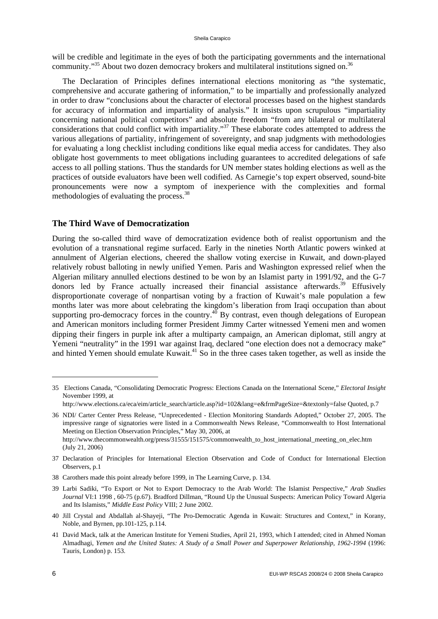#### Sheila Carapico

will be credible and legitimate in the eyes of both the participating governments and the international community."<sup>35</sup> About two dozen democracy brokers and multilateral institutions signed on.<sup>36</sup>

The Declaration of Principles defines international elections monitoring as "the systematic, comprehensive and accurate gathering of information," to be impartially and professionally analyzed in order to draw "conclusions about the character of electoral processes based on the highest standards for accuracy of information and impartiality of analysis." It insists upon scrupulous "impartiality concerning national political competitors" and absolute freedom "from any bilateral or multilateral considerations that could conflict with impartiality."<sup>37</sup> These elaborate codes attempted to address the various allegations of partiality, infringement of sovereignty, and snap judgments with methodologies for evaluating a long checklist including conditions like equal media access for candidates. They also obligate host governments to meet obligations including guarantees to accredited delegations of safe access to all polling stations. Thus the standards for UN member states holding elections as well as the practices of outside evaluators have been well codified. As Carnegie's top expert observed, sound-bite pronouncements were now a symptom of inexperience with the complexities and formal methodologies of evaluating the process.<sup>38</sup>

#### **The Third Wave of Democratization**

During the so-called third wave of democratization evidence both of realist opportunism and the evolution of a transnational regime surfaced. Early in the nineties North Atlantic powers winked at annulment of Algerian elections, cheered the shallow voting exercise in Kuwait, and down-played relatively robust balloting in newly unified Yemen. Paris and Washington expressed relief when the Algerian military annulled elections destined to be won by an Islamist party in 1991/92, and the G-7 donors led by France actually increased their financial assistance afterwards.<sup>39</sup> Effusively disproportionate coverage of nonpartisan voting by a fraction of Kuwait's male population a few months later was more about celebrating the kingdom's liberation from Iraqi occupation than about supporting pro-democracy forces in the country.<sup>40</sup> By contrast, even though delegations of European and American monitors including former President Jimmy Carter witnessed Yemeni men and women dipping their fingers in purple ink after a multiparty campaign, an American diplomat, still angry at Yemeni "neutrality" in the 1991 war against Iraq, declared "one election does not a democracy make" and hinted Yemen should emulate Kuwait.<sup>41</sup> So in the three cases taken together, as well as inside the

38 Carothers made this point already before 1999, in The Learning Curve, p. 134.

<sup>35</sup> Elections Canada, "Consolidating Democratic Progress: Elections Canada on the International Scene," *Electoral Insight* November 1999, at

[http://www.elections.ca/eca/eim/article\\_search/article.asp?id=102&lang=e&frmPageSize=&textonly=false Qu](http://www.elections.ca/eca/eim/article_search/article.asp?id=102&lang=e&frmPageSize=&textonly=false)oted, p.7

<sup>36</sup> NDI/ Carter Center Press Release, "Unprecedented - Election Monitoring Standards Adopted," October 27, 2005. The impressive range of signatories were listed in a Commonwealth News Release, "Commonwealth to Host International Meeting on Election Observation Principles," May 30, 2006, at http://www.thecommonwealth.org/press/31555/151575/commonwealth\_to\_host\_international\_meeting\_on\_elec.htm

<sup>(</sup>July 21, 2006)

<sup>37</sup> Declaration of Principles for International Election Observation and Code of Conduct for International Election Observers, p.1

<sup>39</sup> Larbi Sadiki, "To Export or Not to Export Democracy to the Arab World: The Islamist Perspective," *Arab Studies Journal* VI:1 1998 , 60-75 (p.67). Bradford Dillman, "Round Up the Unusual Suspects: American Policy Toward Algeria and Its Islamists," *Middle East Policy* VIII; 2 June 2002.

<sup>40</sup> Jill Crystal and Abdallah al-Shayeji, "The Pro-Democratic Agenda in Kuwait: Structures and Context," in Korany, Noble, and Byrnen, pp.101-125, p.114.

<sup>41</sup> David Mack, talk at the American Institute for Yemeni Studies, April 21, 1993, which I attended; cited in Ahmed Noman Almadhagi, *Yemen and the United States: A Study of a Small Power and Superpower Relationship, 1962-1994* (1996: Tauris, London) p. 153.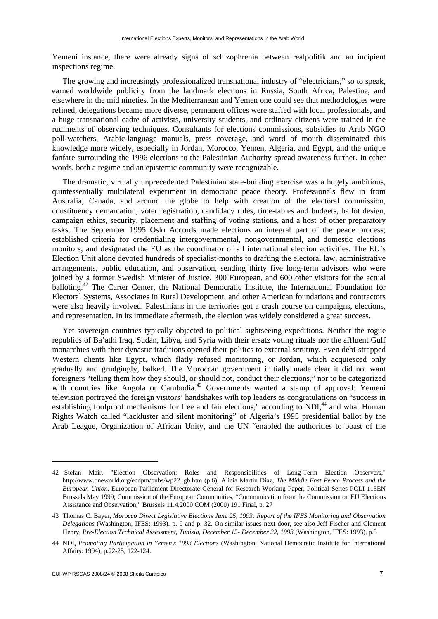Yemeni instance, there were already signs of schizophrenia between realpolitik and an incipient inspections regime.

The growing and increasingly professionalized transnational industry of "electricians," so to speak, earned worldwide publicity from the landmark elections in Russia, South Africa, Palestine, and elsewhere in the mid nineties. In the Mediterranean and Yemen one could see that methodologies were refined, delegations became more diverse, permanent offices were staffed with local professionals, and a huge transnational cadre of activists, university students, and ordinary citizens were trained in the rudiments of observing techniques. Consultants for elections commissions, subsidies to Arab NGO poll-watchers, Arabic-language manuals, press coverage, and word of mouth disseminated this knowledge more widely, especially in Jordan, Morocco, Yemen, Algeria, and Egypt, and the unique fanfare surrounding the 1996 elections to the Palestinian Authority spread awareness further. In other words, both a regime and an epistemic community were recognizable.

The dramatic, virtually unprecedented Palestinian state-building exercise was a hugely ambitious, quintessentially multilateral experiment in democratic peace theory. Professionals flew in from Australia, Canada, and around the globe to help with creation of the electoral commission, constituency demarcation, voter registration, candidacy rules, time-tables and budgets, ballot design, campaign ethics, security, placement and staffing of voting stations, and a host of other preparatory tasks. The September 1995 Oslo Accords made elections an integral part of the peace process; established criteria for credentialing intergovernmental, nongovernmental, and domestic elections monitors; and designated the EU as the coordinator of all international election activities. The EU's Election Unit alone devoted hundreds of specialist-months to drafting the electoral law, administrative arrangements, public education, and observation, sending thirty five long-term advisors who were joined by a former Swedish Minister of Justice, 300 European, and 600 other visitors for the actual balloting.<sup>42</sup> The Carter Center, the National Democratic Institute, the International Foundation for Electoral Systems, Associates in Rural Development, and other American foundations and contractors were also heavily involved. Palestinians in the territories got a crash course on campaigns, elections, and representation. In its immediate aftermath, the election was widely considered a great success.

Yet sovereign countries typically objected to political sightseeing expeditions. Neither the rogue republics of Ba'athi Iraq, Sudan, Libya, and Syria with their ersatz voting rituals nor the affluent Gulf monarchies with their dynastic traditions opened their politics to external scrutiny. Even debt-strapped Western clients like Egypt, which flatly refused monitoring, or Jordan, which acquiesced only gradually and grudgingly, balked. The Moroccan government initially made clear it did not want foreigners "telling them how they should, or should not, conduct their elections," nor to be categorized with countries like Angola or Cambodia.<sup>43</sup> Governments wanted a stamp of approval: Yemeni television portrayed the foreign visitors' handshakes with top leaders as congratulations on "success in establishing foolproof mechanisms for free and fair elections," according to  $NDI<sub>1</sub><sup>44</sup>$  and what Human Rights Watch called "lackluster and silent monitoring" of Algeria's 1995 presidential ballot by the Arab League, Organization of African Unity, and the UN "enabled the authorities to boast of the

-

<sup>42</sup> Stefan Mair, "Election Observation: Roles and Responsibilities of Long-Term Election Observers," [http://www.oneworld.org/ecdpm/pubs/wp22\\_gb.htm \(p](http://www.oneworld.org/ecdpm/pubs/wp22_gb.htm).6); Alicia Martin Diaz, *The Middle East Peace Process and the European Union*, European Parliament Directorate General for Research Working Paper, Political Series POLI-115EN Brussels May 1999; Commission of the European Communities, "Communication from the Commission on EU Elections Assistance and Observation," Brussels 11.4.2000 COM (2000) 191 Final, p. 27

<sup>43</sup> Thomas C. Bayer, *Morocco Direct Legislative Elections June 25, 1993: Report of the IFES Monitoring and Observation Delegations* (Washington, IFES: 1993). p. 9 and p. 32. On similar issues next door, see also Jeff Fischer and Clement Henry, *Pre-Election Technical Assessment, Tunisia, December 15- December 22, 1993* (Washington, IFES: 1993), p.3

<sup>44</sup> NDI, *Promoting Participation in Yemen's 1993 Elections* (Washington, National Democratic Institute for International Affairs: 1994), p.22-25, 122-124.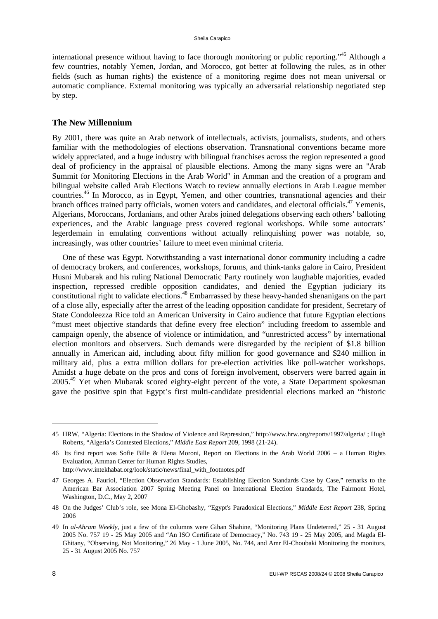international presence without having to face thorough monitoring or public reporting."45 Although a few countries, notably Yemen, Jordan, and Morocco, got better at following the rules, as in other fields (such as human rights) the existence of a monitoring regime does not mean universal or automatic compliance. External monitoring was typically an adversarial relationship negotiated step by step.

#### **The New Millennium**

By 2001, there was quite an Arab network of intellectuals, activists, journalists, students, and others familiar with the methodologies of elections observation. Transnational conventions became more widely appreciated, and a huge industry with bilingual franchises across the region represented a good deal of proficiency in the appraisal of plausible elections. Among the many signs were an "Arab Summit for Monitoring Elections in the Arab World" in Amman and the creation of a program and bilingual website called Arab Elections Watch to review annually elections in Arab League member countries.<sup>46</sup> In Morocco, as in Egypt, Yemen, and other countries, transnational agencies and their branch offices trained party officials, women voters and candidates, and electoral officials.<sup>47</sup> Yemenis, Algerians, Moroccans, Jordanians, and other Arabs joined delegations observing each others' balloting experiences, and the Arabic language press covered regional workshops. While some autocrats' legerdemain in emulating conventions without actually relinquishing power was notable, so, increasingly, was other countries' failure to meet even minimal criteria.

One of these was Egypt. Notwithstanding a vast international donor community including a cadre of democracy brokers, and conferences, workshops, forums, and think-tanks galore in Cairo, President Husni Mubarak and his ruling National Democratic Party routinely won laughable majorities, evaded inspection, repressed credible opposition candidates, and denied the Egyptian judiciary its constitutional right to validate elections.<sup>48</sup> Embarrassed by these heavy-handed shenanigans on the part of a close ally, especially after the arrest of the leading opposition candidate for president, Secretary of State Condoleezza Rice told an American University in Cairo audience that future Egyptian elections "must meet objective standards that define every free election" including freedom to assemble and campaign openly, the absence of violence or intimidation, and "unrestricted access" by international election monitors and observers. Such demands were disregarded by the recipient of \$1.8 billion annually in American aid, including about fifty million for good governance and \$240 million in military aid, plus a extra million dollars for pre-election activities like poll-watcher workshops. Amidst a huge debate on the pros and cons of foreign involvement, observers were barred again in 2005.<sup>49</sup> Yet when Mubarak scored eighty-eight percent of the vote, a State Department spokesman gave the positive spin that Egypt's first multi-candidate presidential elections marked an "historic

<sup>45</sup> HRW, "Algeria: Elections in the Shadow of Violence and Repression," [http://www.hrw.org/reports/1997/algeria/ ; H](http://www.hrw.org/reports/1997/algeria/)ugh Roberts, "Algeria's Contested Elections," *Middle East Report* 209, 1998 (21-24).

<sup>46</sup> Its first report was Sofie Bille & Elena Moroni, Report on Elections in the Arab World 2006 – a Human Rights Evaluation, Amman Center for Human Rights Studies,

[http://www.intekhabat.org/look/static/news/final\\_with\\_footnotes.pdf](http://www.intekhabat.org/look/static/news/final_with_footnotes.pdf) 

<sup>47</sup> Georges A. Fauriol, "Election Observation Standards: Establishing Election Standards Case by Case," remarks to the American Bar Association 2007 Spring Meeting Panel on International Election Standards, The Fairmont Hotel, Washington, D.C., May 2, 2007

<sup>48</sup> On the Judges' Club's role, see Mona El-Ghobashy, "Egypt's Paradoxical Elections," *Middle East Report* 238, Spring 2006

<sup>49</sup> In *al-Ahram Weekly*, just a few of the columns were Gihan Shahine, "Monitoring Plans Undeterred," 25 - 31 August 2005 No. 757 19 - 25 May 2005 and "An ISO Certificate of Democracy," No. 743 19 - 25 May 2005, and Magda El-Ghitany, "Observing, Not Monitoring," 26 May - 1 June 2005, No. 744, and Amr El-Choubaki Monitoring the monitors, 25 - 31 August 2005 No. 757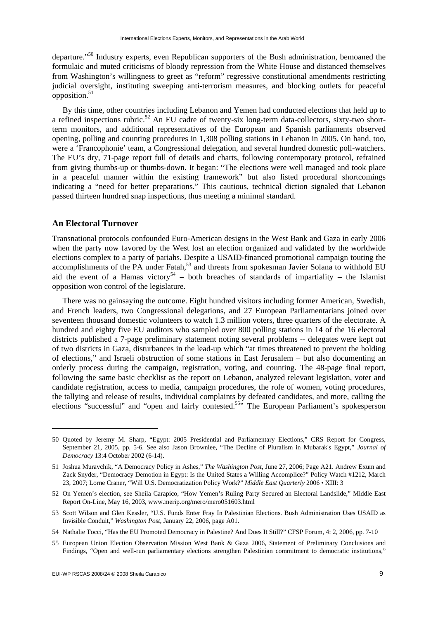departure."50 Industry experts, even Republican supporters of the Bush administration, bemoaned the formulaic and muted criticisms of bloody repression from the White House and distanced themselves from Washington's willingness to greet as "reform" regressive constitutional amendments restricting judicial oversight, instituting sweeping anti-terrorism measures, and blocking outlets for peaceful opposition. $51$ 

By this time, other countries including Lebanon and Yemen had conducted elections that held up to a refined inspections rubric.<sup>52</sup> An EU cadre of twenty-six long-term data-collectors, sixty-two shortterm monitors, and additional representatives of the European and Spanish parliaments observed opening, polling and counting procedures in 1,308 polling stations in Lebanon in 2005. On hand, too, were a 'Francophonie' team, a Congressional delegation, and several hundred domestic poll-watchers. The EU's dry, 71-page report full of details and charts, following contemporary protocol, refrained from giving thumbs-up or thumbs-down. It began: "The elections were well managed and took place in a peaceful manner within the existing framework" but also listed procedural shortcomings indicating a "need for better preparations." This cautious, technical diction signaled that Lebanon passed thirteen hundred snap inspections, thus meeting a minimal standard.

#### **An Electoral Turnover**

-

Transnational protocols confounded Euro-American designs in the West Bank and Gaza in early 2006 when the party now favored by the West lost an election organized and validated by the worldwide elections complex to a party of pariahs. Despite a USAID-financed promotional campaign touting the accomplishments of the PA under Fatah,<sup>53</sup> and threats from spokesman Javier Solana to withhold EU aid the event of a Hamas victory<sup>54</sup> – both breaches of standards of impartiality – the Islamist opposition won control of the legislature.

There was no gainsaying the outcome. Eight hundred visitors including former American, Swedish, and French leaders, two Congressional delegations, and 27 European Parliamentarians joined over seventeen thousand domestic volunteers to watch 1.3 million voters, three quarters of the electorate. A hundred and eighty five EU auditors who sampled over 800 polling stations in 14 of the 16 electoral districts published a 7-page preliminary statement noting several problems -- delegates were kept out of two districts in Gaza, disturbances in the lead-up which "at times threatened to prevent the holding of elections," and Israeli obstruction of some stations in East Jerusalem – but also documenting an orderly process during the campaign, registration, voting, and counting. The 48-page final report, following the same basic checklist as the report on Lebanon, analyzed relevant legislation, voter and candidate registration, access to media, campaign procedures, the role of women, voting procedures, the tallying and release of results, individual complaints by defeated candidates, and more, calling the elections "successful" and "open and fairly contested.55" The European Parliament's spokesperson

<sup>50</sup> Quoted by Jeremy M. Sharp, "Egypt: 2005 Presidential and Parliamentary Elections," CRS Report for Congress, September 21, 2005, pp. 5-6. See also Jason Brownlee, "The Decline of Pluralism in Mubarak's Egypt," *Journal of Democracy* 13:4 October 2002 (6-14).

<sup>51</sup> Joshua Muravchik, "A Democracy Policy in Ashes," *The Washington Post,* June 27, 2006; Page A21. Andrew Exum and Zack Snyder, "Democracy Demotion in Egypt: Is the United States a Willing Accomplice?" Policy Watch #1212, March 23, 2007; Lorne Craner, "Will U.S. Democratization Policy Work?" *Middle East Quarterly* 2006 • XIII: 3

<sup>52</sup> On Yemen's election, see Sheila Carapico, "How Yemen's Ruling Party Secured an Electoral Landslide," Middle East Report On-Line, May 16, 2003, [www.merip.org/mero/mero051603.html](http://www.merip.org/mero/mero051603.html) 

<sup>53</sup> Scott Wilson and Glen Kessler, "U.S. Funds Enter Fray In Palestinian Elections. Bush Administration Uses USAID as Invisible Conduit," *Washington Post*, January 22, 2006, page A01.

<sup>54</sup> Nathalie Tocci, "Has the EU Promoted Democracy in Palestine? And Does It Still?" CFSP Forum, 4: 2, 2006, pp. 7-10

<sup>55</sup> European Union Election Observation Mission West Bank & Gaza 2006, Statement of Preliminary Conclusions and Findings, "Open and well-run parliamentary elections strengthen Palestinian commitment to democratic institutions,"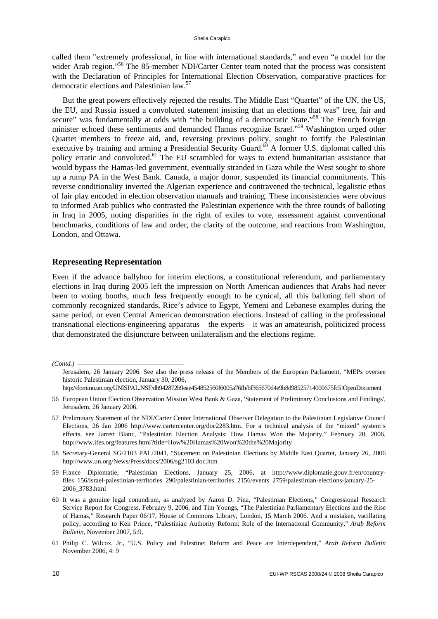called them "extremely professional, in line with international standards," and even "a model for the wider Arab region."<sup>56</sup> The 85-member NDI/Carter Center team noted that the process was consistent with the Declaration of Principles for International Election Observation, comparative practices for democratic elections and Palestinian law.57

But the great powers effectively rejected the results. The Middle East "Quartet" of the UN, the US, the EU, and Russia issued a convoluted statement insisting that an elections that was" free, fair and secure" was fundamentally at odds with "the building of a democratic State."<sup>58</sup> The French foreign minister echoed these sentiments and demanded Hamas recognize Israel."59 Washington urged other Quartet members to freeze aid, and, reversing previous policy, sought to fortify the Palestinian executive by training and arming a Presidential Security Guard.<sup>60</sup> A former U.S. diplomat called this policy erratic and convoluted.<sup>61</sup> The EU scrambled for ways to extend humanitarian assistance that would bypass the Hamas-led government, eventually stranded in Gaza while the West sought to shore up a rump PA in the West Bank. Canada, a major donor, suspended its financial commitments. This reverse conditionality inverted the Algerian experience and contravened the technical, legalistic ethos of fair play encoded in election observation manuals and training. These inconsistencies were obvious to informed Arab publics who contrasted the Palestinian experience with the three rounds of balloting in Iraq in 2005, noting disparities in the right of exiles to vote, assessment against conventional benchmarks, conditions of law and order, the clarity of the outcome, and reactions from Washington, London, and Ottawa.

#### **Representing Representation**

Even if the advance ballyhoo for interim elections, a constitutional referendum, and parliamentary elections in Iraq during 2005 left the impression on North American audiences that Arabs had never been to voting booths, much less frequently enough to be cynical, all this balloting fell short of commonly recognized standards, Rice's advice to Egypt, Yemeni and Lebanese examples during the same period, or even Central American demonstration elections. Instead of calling in the professional transnational elections-engineering apparatus – the experts – it was an amateurish, politicized process that demonstrated the disjuncture between unilateralism and the elections regime.

*(Contd.)* 

- 56 European Union Election Observation Mission West Bank & Gaza, 'Statement of Preliminary Conclusions and Findings', Jerusalem, 26 January 2006.
- 57 Preliminary Statement of the NDI/Carter Center International Observer Delegation to the Palestinian Legislative Council Elections, 26 Jan 2006 [http://www.cartercenter.org/doc2283.htm.](http://www.cartercenter.org/doc2283.htm) For a technical analysis of the "mixed" system's effects, see Jarrett Blanc, "Palestinian Election Analysis: How Hamas Won the Majority," February 20, 2006, <http://www.ifes.org/features.html?title=How%20Hamas%20Won%20the%20Majority>
- 58 Secretary-General SG/2103 PAL/2041, "Statement on Palestinian Elections by Middle East Quartet, January 26, 2006 <http://www.un.org/News/Press/docs/2006/sg2103.doc.htm>
- 59 [France Diplomatie, "Palestinian Elections, January 25, 2006, at http://www.diplomatie.gouv.fr/en/country](http://www.diplomatie.gouv.fr/en/country-files_156/israel-palestinian-territories_290/palestinian-territories_2156/events_2759/palestinian-elec)files[\\_156/israel-palestinian-territories\\_290/palestinian-territories\\_2156/events\\_2759/palestinian-elections-january-25-](http://www.diplomatie.gouv.fr/en/country-files_156/israel-palestinian-territories_290/palestinian-territories_2156/events_2759/palestinian-elec) [2006\\_3783.html](http://www.diplomatie.gouv.fr/en/country-files_156/israel-palestinian-territories_290/palestinian-territories_2156/events_2759/palestinian-elec)
- 60 It was a genuine legal conundrum, as analyzed by Aaron D. Pina, "Palestinian Elections," Congressional Research Service Report for Congress, February 9, 2006, and Tim Youngs, "The Palestinian Parliamentary Elections and the Rise of Hamas," Research Paper 06/17, House of Commons Library, London, 15 March 2006. And a mistaken, vacillating policy, according to Keir Prince, "Palestinian Authority Reform: Role of the International Community," *Arab Reform Bulletin,* November 2007, 5:9,
- 61 Philip C. Wilcox, Jr., "U.S. Policy and Palestine: Reform and Peace are Interdependent," *Arab Reform Bulletin* November 2006, 4: 9

Jerusalem, 26 January 2006. See also the press release of the Members of the European Parliament, "MEPs oversee historic Palestinian election, January 30, 2006,

<http://domino.un.org/UNISPAL.NSF/db942872b9eae454852560f6005a76fb/bf365670d4e9b8d98525714000675fc5!OpenDocument>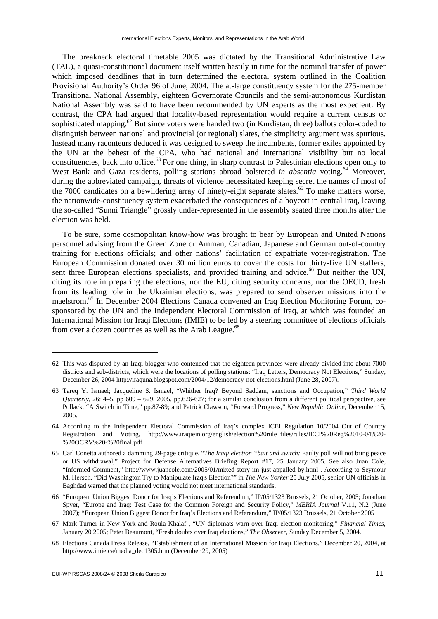The breakneck electoral timetable 2005 was dictated by the Transitional Administrative Law (TAL), a quasi-constitutional document itself written hastily in time for the nominal transfer of power which imposed deadlines that in turn determined the electoral system outlined in the Coalition Provisional Authority's Order 96 of June, 2004. The at-large constituency system for the 275-member Transitional National Assembly, eighteen Governorate Councils and the semi-autonomous Kurdistan National Assembly was said to have been recommended by UN experts as the most expedient. By contrast, the CPA had argued that locality-based representation would require a current census or sophisticated mapping.<sup>62</sup> But since voters were handed two (in Kurdistan, three) ballots color-coded to distinguish between national and provincial (or regional) slates, the simplicity argument was spurious. Instead many raconteurs deduced it was designed to sweep the incumbents, former exiles appointed by the UN at the behest of the CPA, who had national and international visibility but no local constituencies, back into office.<sup>63</sup> For one thing, in sharp contrast to Palestinian elections open only to West Bank and Gaza residents, polling stations abroad bolstered *in absentia* voting.<sup>64</sup> Moreover, during the abbreviated campaign, threats of violence necessitated keeping secret the names of most of the  $7000$  candidates on a bewildering array of ninety-eight separate slates.<sup>65</sup> To make matters worse, the nationwide-constituency system exacerbated the consequences of a boycott in central Iraq, leaving the so-called "Sunni Triangle" grossly under-represented in the assembly seated three months after the election was held.

To be sure, some cosmopolitan know-how was brought to bear by European and United Nations personnel advising from the Green Zone or Amman; Canadian, Japanese and German out-of-country training for elections officials; and other nations' facilitation of expatriate voter-registration. The European Commission donated over 30 million euros to cover the costs for thirty-five UN staffers, sent three European elections specialists, and provided training and advice.<sup>66</sup> But neither the UN, citing its role in preparing the elections, nor the EU, citing security concerns, nor the OECD, fresh from its leading role in the Ukrainian elections, was prepared to send observer missions into the maelstrom.67 In December 2004 Elections Canada convened an Iraq Election Monitoring Forum, cosponsored by the UN and the Independent Electoral Commission of Iraq, at which was founded an International Mission for Iraqi Elections (IMIE) to be led by a steering committee of elections officials from over a dozen countries as well as the Arab League.<sup>68</sup>

<sup>62</sup> This was disputed by an Iraqi blogger who contended that the eighteen provinces were already divided into about 7000 districts and sub-districts, which were the locations of polling stations: "Iraq Letters, Democracy Not Elections," Sunday, December 26, 2004 [http://iraquna.blogspot.com/2004/12/democracy-not-elections.html \(Ju](http://iraquna.blogspot.com/2004/12/democracy-not-elections.html)ne 28, 2007).

<sup>63</sup> Tareq Y. Ismael; Jacqueline S. Ismael, "Whither Iraq? Beyond Saddam, sanctions and Occupation," *Third World Quarterly*, 26: 4–5, pp 609 – 629, 2005, pp.626-627; for a similar conclusion from a different political perspective, see Pollack, "A Switch in Time," pp.87-89; and Patrick Clawson, "Forward Progress," *New Republic Online*, December 15, 2005.

<sup>64</sup> According to the Independent Electoral Commission of Iraq's complex ICEI Regulation 10/2004 Out of Country Registration and Voting, [http://www.iraqiein.org/english/election%20rule\\_files/rules/IECI%20Reg%2010-04%20-](http://www.iraqiein.org/english/election%20rule_files/rules/IECI%20Reg%2010-04%20-%20OCRV%20-%20final.pdf) [%20OCRV%20-%20final.pdf](http://www.iraqiein.org/english/election%20rule_files/rules/IECI%20Reg%2010-04%20-%20OCRV%20-%20final.pdf) 

<sup>65</sup> Carl Conetta authored a damming 29-page critique, "*The Iraqi election "bait and switch:* Faulty poll will not bring peace or US withdrawal," Project for Defense Alternatives Briefing Report #17, 25 January 2005. See also Juan Cole, "Informed Comment," [http://www.juancole.com/2005/01/mixed-story-im-just-appalled-by.html . A](http://www.juancole.com/2005/01/mixed-story-im-just-appalled-by.html)ccording to Seymour M. Hersch, "Did Washington Try to Manipulate Iraq's Election?" in *The New Yorker* 25 July 2005, senior UN officials in Baghdad warned that the planned voting would not meet international standards.

<sup>66 &</sup>quot;European Union Biggest Donor for Iraq's Elections and Referendum," IP/05/1323 Brussels, 21 October, 2005; Jonathan Spyer, "Europe and Iraq: Test Case for the Common Foreign and Security Policy," *MERIA Journal* V.11, N.2 (June 2007); "European Union Biggest Donor for Iraq's Elections and Referendum," IP/05/1323 Brussels, 21 October 2005

<sup>67</sup> Mark Turner in New York and Roula Khalaf , "UN diplomats warn over Iraqi election monitoring," *Financial Times*, January 20 2005; Peter Beaumont, "Fresh doubts over Iraq elections," *The Observer,* Sunday December 5, 2004.

<sup>68</sup> Elections Canada Press Release, "Establishment of an International Mission for Iraqi Elections," December 20, 2004, at [http://www.imie.ca/media\\_dec1305.htm \(D](http://www.imie.ca/media_dec1305.htm)ecember 29, 2005)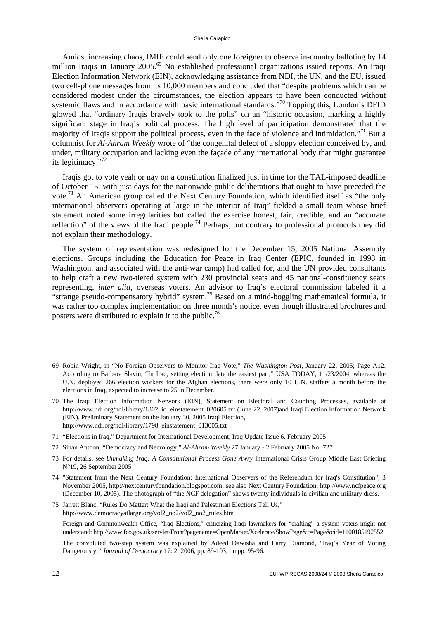#### Sheila Carapico

Amidst increasing chaos, IMIE could send only one foreigner to observe in-country balloting by 14 million Iraqis in January 2005.<sup>69</sup> No established professional organizations issued reports. An Iraqi Election Information Network (EIN), acknowledging assistance from NDI, the UN, and the EU, issued two cell-phone messages from its 10,000 members and concluded that "despite problems which can be considered modest under the circumstances, the election appears to have been conducted without systemic flaws and in accordance with basic international standards."<sup>70</sup> Topping this, London's DFID glowed that "ordinary Iraqis bravely took to the polls" on an "historic occasion, marking a highly significant stage in Iraq's political process. The high level of participation demonstrated that the majority of Iraqis support the political process, even in the face of violence and intimidation."71 But a columnist for *Al-Ahram Weekly* wrote of "the congenital defect of a sloppy election conceived by, and under, military occupation and lacking even the façade of any international body that might guarantee its legitimacy."72

Iraqis got to vote yeah or nay on a constitution finalized just in time for the TAL-imposed deadline of October 15, with just days for the nationwide public deliberations that ought to have preceded the vote.73 An American group called the Next Century Foundation, which identified itself as "the only international observers operating at large in the interior of Iraq" fielded a small team whose brief statement noted some irregularities but called the exercise honest, fair, credible, and an "accurate reflection" of the views of the Iraqi people.<sup>74</sup> Perhaps; but contrary to professional protocols they did not explain their methodology.

The system of representation was redesigned for the December 15, 2005 National Assembly elections. Groups including the Education for Peace in Iraq Center (EPIC, founded in 1998 in Washington, and associated with the anti-war camp) had called for, and the UN provided consultants to help craft a new two-tiered system with 230 provincial seats and 45 national-constituency seats representing, *inter alia*, overseas voters. An advisor to Iraq's electoral commission labeled it a "strange pseudo-compensatory hybrid" system.75 Based on a mind-boggling mathematical formula, it was rather too complex implementation on three month's notice, even though illustrated brochures and posters were distributed to explain it to the public.<sup>76</sup>

<sup>69</sup> Robin Wright, in "No Foreign Observers to Monitor Iraq Vote," *The Washington Post*, January 22, 2005; Page A12. According to Barbara Slavin, "In Iraq, setting election date the easiest part," USA TODAY, 11/23/2004, whereas the U.N. deployed 266 election workers for the Afghan elections, there were only 10 U.N. staffers a month before the elections in Iraq, expected to increase to 25 in December.

<sup>70</sup> The Iraqi Election Information Network (EIN), Statement on Electoral and Counting Processes, available at [http://www.ndi.org/ndi/library/1802\\_iq\\_einstatement\\_020605.txt \(J](http://www.ndi.org/ndi/library/1802_iq_einstatement_020605.txt)une 22, 2007)and Iraqi Election Information Network (EIN), Preliminary Statement on the January 30, 2005 Iraqi Election, [http://www.ndi.org/ndi/library/1798\\_einstatement\\_013005.txt](http://www.ndi.org/ndi/library/1798_einstatement_013005.txt) 

<sup>71 &</sup>quot;Elections in Iraq," Department for International Development, Iraq Update Issue 6, February 2005

<sup>72</sup> Sinan Antoon, "Democracy and Necrology," *Al-Ahram Weekly* 27 January - 2 February 2005 No. 727

<sup>73</sup> For details, see *Unmaking Iraq: A Constitutional Process Gone Awry* International Crisis Group Middle East Briefing N°19, 26 September 2005

<sup>74 &</sup>quot;Statement from the Next Century Foundation: International Observers of the Referendum for Iraq's Constitution", 3 November 2005, [http://nextcenturyfoundation.blogspot.com;](http://nextcenturyfoundation.blogspot.com) see also Next Century Foundation: <http://www.ncfpeace.org> (December 10, 2005). The photograph of "the NCF delegation" shows twenty individuals in civilian and military dress.

<sup>75</sup> Jarrett Blanc, "Rules Do Matter: What the Iraqi and Palestinian Elections Tell Us," [http://www.democracyatlarge.org/vol2\\_no2/vol2\\_no2\\_rules.htm](http://www.democracyatlarge.org/vol2_no2/vol2_no2_rules.htm) 

Foreign and Commonwealth Office, "Iraq Elections," criticizing Iraqi lawmakers for "crafting" a system voters might not understand: http://www.fco.gov.uk/servlet/Front?pagename=OpenMarket/Xcelerate/ShowPage&c=Page&cid=1100185192552

The convoluted two-step system was explained by Adeed Dawisha and Larry Diamond, "Iraq's Year of Voting Dangerously," *Journal of Democracy* 17: 2, 2006, pp. 89-103, on pp. 95-96.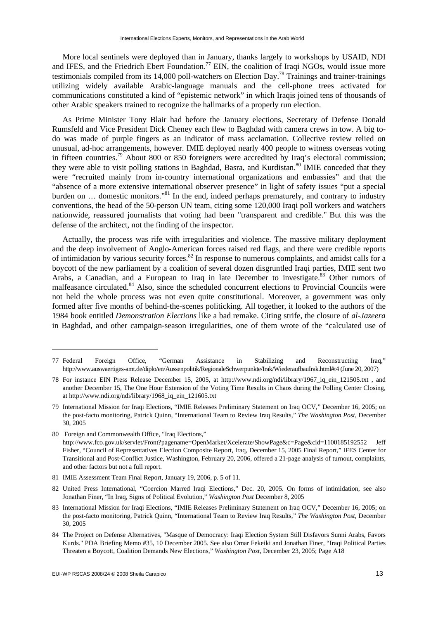More local sentinels were deployed than in January, thanks largely to workshops by USAID, NDI and IFES, and the Friedrich Ebert Foundation.<sup>77</sup> EIN, the coalition of Iraqi NGOs, would issue more testimonials compiled from its 14,000 poll-watchers on Election Day.<sup>78</sup> Trainings and trainer-trainings utilizing widely available Arabic-language manuals and the cell-phone trees activated for communications constituted a kind of "epistemic network" in which Iraqis joined tens of thousands of other Arabic speakers trained to recognize the hallmarks of a properly run election.

As Prime Minister Tony Blair had before the January elections, Secretary of Defense Donald Rumsfeld and Vice President Dick Cheney each flew to Baghdad with camera crews in tow. A big todo was made of purple fingers as an indicator of mass acclamation. Collective review relied on unusual, ad-hoc arrangements, however. IMIE deployed nearly 400 people to witness overseas voting in fifteen countries.<sup>79</sup> About 800 or 850 foreigners were accredited by Iraq's electoral commission; they were able to visit polling stations in Baghdad, Basra, and Kurdistan.<sup>80</sup> IMIE conceded that they were "recruited mainly from in-country international organizations and embassies" and that the "absence of a more extensive international observer presence" in light of safety issues "put a special burden on ... domestic monitors."<sup>81</sup> In the end, indeed perhaps prematurely, and contrary to industry conventions, the head of the 50-person UN team, citing some 120,000 Iraqi poll workers and watchers nationwide, reassured journalists that voting had been "transparent and credible." But this was the defense of the architect, not the finding of the inspector.

Actually, the process was rife with irregularities and violence. The massive military deployment and the deep involvement of Anglo-American forces raised red flags, and there were credible reports of intimidation by various security forces.<sup>82</sup> In response to numerous complaints, and amidst calls for a boycott of the new parliament by a coalition of several dozen disgruntled Iraqi parties, IMIE sent two Arabs, a Canadian, and a European to Iraq in late December to investigate.<sup>83</sup> Other rumors of malfeasance circulated.<sup>84</sup> Also, since the scheduled concurrent elections to Provincial Councils were not held the whole process was not even quite constitutional. Moreover, a government was only formed after five months of behind-the-scenes politicking. All together, it looked to the authors of the 1984 book entitled *Demonstration Elections* like a bad remake. Citing strife, the closure of *al-Jazeera* in Baghdad, and other campaign-season irregularities, one of them wrote of the "calculated use of

- 81 IMIE Assessment Team Final Report, January 19, 2006, p. 5 of 11.
- 82 United Press International, "Coercion Marred Iraqi Elections," Dec. 20, 2005. On forms of intimidation, see also Jonathan Finer, "In Iraq, Signs of Political Evolution," *Washington Post* December 8, 2005
- 83 International Mission for Iraqi Elections, "IMIE Releases Preliminary Statement on Iraq OCV," December 16, 2005; on the post-facto monitoring, Patrick Quinn, "International Team to Review Iraq Results," *The Washington Post*, December 30, 2005
- 84 The Project on Defense Alternatives, "Masque of Democracy: Iraqi Election System Still Disfavors Sunni Arabs, Favors Kurds." PDA Briefing Memo #35, 10 December 2005. See also Omar Fekeiki and Jonathan Finer, "Iraqi Political Parties Threaten a Boycott, Coalition Demands New Elections," *Washington Post*, December 23, 2005; Page A18

<sup>77</sup> Federal Foreign Office, "German Assistance in Stabilizing and Reconstructing Iraq," [http://www.auswaertiges-amt.de/diplo/en/Aussenpolitik/RegionaleSchwerpunkte/Irak/WiederaufbauIrak.html#t4 \(Ju](http://www.auswaertiges-amt.de/diplo/en/Aussenpolitik/RegionaleSchwerpunkte/Irak/WiederaufbauIrak.html#t4)ne 20, 2007)

<sup>78</sup> For instance EIN Press Release December 15, 2005, at [http://www.ndi.org/ndi/library/1967\\_iq\\_ein\\_121505.txt ,](http://www.ndi.org/ndi/library/1967_iq_ein_121505.txt) and another December 15, The One Hour Extension of the Voting Time Results in Chaos during the Polling Center Closing, at [http://www.ndi.org/ndi/library/1968\\_iq\\_ein\\_121605.txt](http://www.ndi.org/ndi/library/1968_iq_ein_121605.txt) 

<sup>79</sup> International Mission for Iraqi Elections, "IMIE Releases Preliminary Statement on Iraq OCV," December 16, 2005; on the post-facto monitoring, Patrick Quinn, "International Team to Review Iraq Results," *The Washington Post*, December 30, 2005

<sup>80</sup> Foreign and Commonwealth Office, "Iraq Elections," <http://www.fco.gov.uk/servlet/Front?pagename=OpenMarket/Xcelerate/ShowPage&c=Page&cid=1100185192552>Jeff Fisher, "Council of Representatives Election Composite Report, Iraq, December 15, 2005 Final Report," IFES Center for Transitional and Post-Conflict Justice, Washington, February 20, 2006, offered a 21-page analysis of turnout, complaints, and other factors but not a full report.